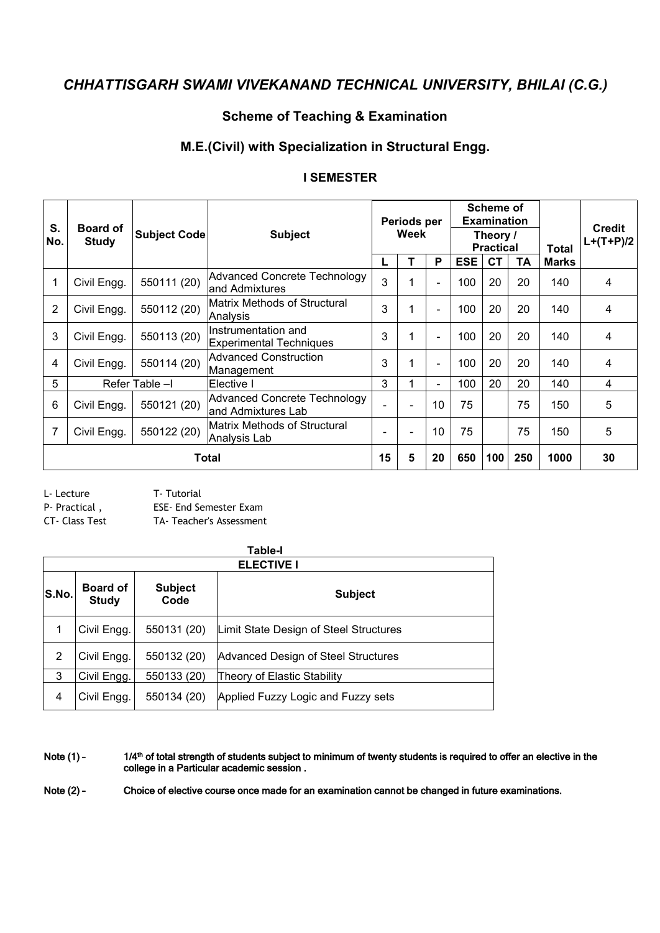#### **Scheme of Teaching & Examination**

## **M.E.(Civil) with Specialization in Structural Engg.**

|                |                          | <b>Subject Code</b> |                                                       |      | Periods per |                          |                              | <b>Scheme of</b><br><b>Examination</b> |     |              |                              |
|----------------|--------------------------|---------------------|-------------------------------------------------------|------|-------------|--------------------------|------------------------------|----------------------------------------|-----|--------------|------------------------------|
| S.<br>No.      | <b>Board of</b><br>Study |                     | <b>Subject</b>                                        | Week |             |                          | Theory /<br><b>Practical</b> |                                        |     | Total        | <b>Credit</b><br>$L+(T+P)/2$ |
|                |                          |                     |                                                       |      |             | P                        | <b>ESE</b>                   | <b>CT</b>                              | TA  | <b>Marks</b> |                              |
| $\mathbf{1}$   | Civil Engg.              | 550111 (20)         | Advanced Concrete Technology<br>and Admixtures        |      |             |                          | 100                          | 20                                     | 20  | 140          | 4                            |
| 2              | Civil Engg.              | 550112 (20)         | Matrix Methods of Structural<br>Analysis              | 3    |             | $\overline{\phantom{0}}$ | 100                          | 20                                     | 20  | 140          | 4                            |
| 3              | Civil Engg.              | 550113 (20)         | Instrumentation and<br><b>Experimental Techniques</b> | 3    |             | $\overline{\phantom{0}}$ | 100                          | 20                                     | 20  | 140          | 4                            |
| 4              | Civil Engg.              | 550114 (20)         | Advanced Construction<br>Management                   | 3    |             | $\overline{\phantom{0}}$ | 100                          | 20                                     | 20  | 140          | 4                            |
| 5              |                          | Refer Table -I      | lElective I                                           | 3    |             | $\overline{\phantom{a}}$ | 100                          | 20                                     | 20  | 140          | 4                            |
| 6              | Civil Engg.              | 550121 (20)         | Advanced Concrete Technology<br>and Admixtures Lab    |      |             | 10                       | 75                           |                                        | 75  | 150          | 5                            |
| $\overline{7}$ | Civil Engg.              | 550122 (20)         | Matrix Methods of Structural<br>Analysis Lab          | ۰    |             | 10                       | 75                           |                                        | 75  | 150          | 5                            |
|                |                          |                     | Total                                                 | 15   | 5           | 20                       | 650                          | 100                                    | 250 | 1000         | 30                           |

#### **I SEMESTER**

L- Lecture T- Tutorial

P- Practical , ESE- End Semester Exam

CT- Class Test TA- Teacher's Assessment

|       |                                 |                        | <b>ELECTIVE I</b>                      |
|-------|---------------------------------|------------------------|----------------------------------------|
| S.No. | <b>Board of</b><br><b>Study</b> | <b>Subject</b><br>Code | <b>Subject</b>                         |
|       | Civil Engg.                     | 550131 (20)            | Limit State Design of Steel Structures |
| 2     | Civil Engg.                     | 550132 (20)            | Advanced Design of Steel Structures    |
| 3     | Civil Engg.                     | 550133 (20)            | Theory of Elastic Stability            |
| 4     | Civil Engg.                     | 550134 (20)            | Applied Fuzzy Logic and Fuzzy sets     |

Note (1) - 1/4<sup>th</sup> of total strength of students subject to minimum of twenty students is required to offer an elective in the college in a Particular academic session.

Note (2) - Choice of elective course once made for an examination cannot be changed in future examinations.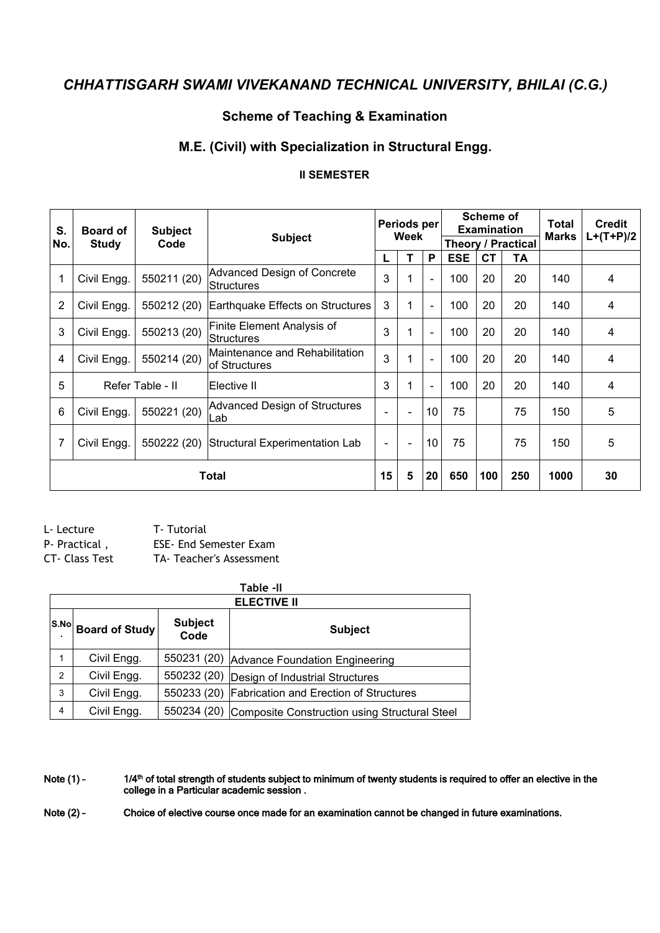## **Scheme of Teaching & Examination**

#### **M.E. (Civil) with Specialization in Structural Engg.**

#### **II SEMESTER**

| S.<br>No.      | <b>Board of</b><br><b>Study</b> | <b>Subject</b><br>Code | <b>Subject</b>                                   |                   | Periods per<br>Week      |                          |            | Scheme of<br><b>Examination</b> | Theory / Practical | Total<br><b>Marks</b> | <b>Credit</b><br>$L+(T+P)/2$ |
|----------------|---------------------------------|------------------------|--------------------------------------------------|-------------------|--------------------------|--------------------------|------------|---------------------------------|--------------------|-----------------------|------------------------------|
|                |                                 |                        |                                                  |                   |                          | P                        | <b>ESE</b> | <b>CT</b>                       | TA                 |                       |                              |
| 1              | Civil Engg.                     | 550211 (20)            | Advanced Design of Concrete<br>Structures        | 3                 |                          | $\overline{\phantom{a}}$ | 100        | 20                              | 20                 | 140                   | 4                            |
| $\overline{2}$ | Civil Engg.                     | 550212 (20)            | Earthquake Effects on Structures                 | 3                 | 1                        | $\blacksquare$           | 100        | 20                              | 20                 | 140                   | 4                            |
| 3              | Civil Engg.                     | 550213 (20)            | Finite Element Analysis of<br>Structures         | 3                 |                          | $\sim$                   | 100        | 20                              | 20                 | 140                   | 4                            |
| 4              | Civil Engg.                     | 550214 (20)            | Maintenance and Rehabilitation<br>lof Structures | 3                 | 1                        | $\overline{\phantom{a}}$ | 100        | 20                              | 20                 | 140                   | 4                            |
| 5              |                                 | Refer Table - II       | Elective II                                      | 3                 |                          | $\sim$                   | 100        | 20                              | 20                 | 140                   | 4                            |
| 6              | Civil Engg.                     | 550221 (20)            | Advanced Design of Structures<br>Lab             | $\blacksquare$    | $\overline{\phantom{a}}$ | 10                       | 75         |                                 | 75                 | 150                   | 5                            |
| 7              | Civil Engg.                     | 550222 (20)            | Structural Experimentation Lab                   | $\qquad \qquad -$ | $\overline{\phantom{a}}$ | 10                       | 75         |                                 | 75                 | 150                   | 5                            |
|                |                                 |                        | Total                                            | 15                | 5                        | 20                       | 650        | 100                             | 250                | 1000                  | 30                           |

L- Lecture T- Tutorial P- Practical , ESE- End Semester Exam CT- Class Test TA- Teacher's Assessment

|   |                         |                        | Table -II                                                 |
|---|-------------------------|------------------------|-----------------------------------------------------------|
|   |                         |                        | <b>ELECTIVE II</b>                                        |
|   | $ S.No $ Board of Study | <b>Subject</b><br>Code | <b>Subject</b>                                            |
|   | Civil Engg.             |                        | 550231 (20) Advance Foundation Engineering                |
| 2 | Civil Engg.             |                        | 550232 (20) Design of Industrial Structures               |
| 3 | Civil Engg.             |                        | 550233 (20) Fabrication and Erection of Structures        |
| 4 | Civil Engg.             |                        | 550234 (20) Composite Construction using Structural Steel |

Note (1) - 1/4<sup>th</sup> of total strength of students subject to minimum of twenty students is required to offer an elective in the college in a Particular academic session.

Note (2) - Choice of elective course once made for an examination cannot be changed in future examinations.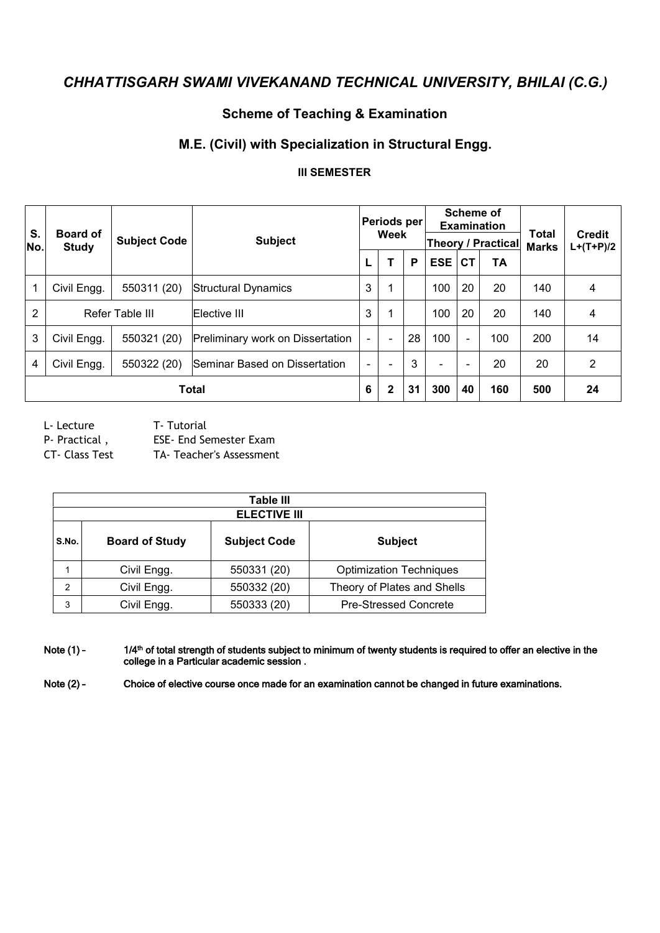## **Scheme of Teaching & Examination**

## **M.E. (Civil) with Specialization in Structural Engg.**

#### **III SEMESTER**

| S.<br>No.      | <b>Board of</b><br>Study | <b>Subject Code</b> | <b>Subject</b>                   |                          | Periods per<br>Week          |    |            |                          | <b>Scheme of</b><br><b>Examination</b><br><b>Theory / Practical</b> | Total<br><b>Marks</b> | <b>Credit</b><br>$L+(T+P)/2$ |
|----------------|--------------------------|---------------------|----------------------------------|--------------------------|------------------------------|----|------------|--------------------------|---------------------------------------------------------------------|-----------------------|------------------------------|
|                |                          |                     |                                  |                          |                              | P  | <b>ESE</b> | <b>CT</b>                | TA                                                                  |                       |                              |
|                | Civil Engg.              | 550311 (20)         | Structural Dynamics              | 3                        |                              |    | 100        | 20                       | 20                                                                  | 140                   | 4                            |
| $\overline{2}$ |                          | Refer Table III     | Elective III                     | 3                        |                              |    | 100        | 20                       | 20                                                                  | 140                   | 4                            |
| 3              | Civil Engg.              | 550321 (20)         | Preliminary work on Dissertation | $\overline{\phantom{0}}$ | $\overline{\phantom{a}}$     | 28 | 100        | $\overline{\phantom{a}}$ | 100                                                                 | 200                   | 14                           |
| 4              | Civil Engg.              | 550322 (20)         | Seminar Based on Dissertation    | $\overline{\phantom{0}}$ | $\qquad \qquad \blacksquare$ | 3  |            |                          | 20                                                                  | 20                    | $\overline{2}$               |
|                |                          |                     | <b>Total</b>                     | 6                        | $\mathbf{2}$                 | 31 | 300        | 40                       | 160                                                                 | 500                   | 24                           |

L- Lecture T- Tutorial

P- Practical, ESE- End Semester Exam

CT- Class Test TA- Teacher's Assessment

|       |                       | Table III<br><b>ELECTIVE III</b> |                                |
|-------|-----------------------|----------------------------------|--------------------------------|
| S.No. | <b>Board of Study</b> | <b>Subject Code</b>              | <b>Subject</b>                 |
|       | Civil Engg.           | 550331 (20)                      | <b>Optimization Techniques</b> |
| 2     | Civil Engg.           | 550332 (20)                      | Theory of Plates and Shells    |
| 3     | Civil Engg.           | 550333 (20)                      | <b>Pre-Stressed Concrete</b>   |

Note (1) - 1/4<sup>th</sup> of total strength of students subject to minimum of twenty students is required to offer an elective in the college in a Particular academic session.

Note (2) - Choice of elective course once made for an examination cannot be changed in future examinations.